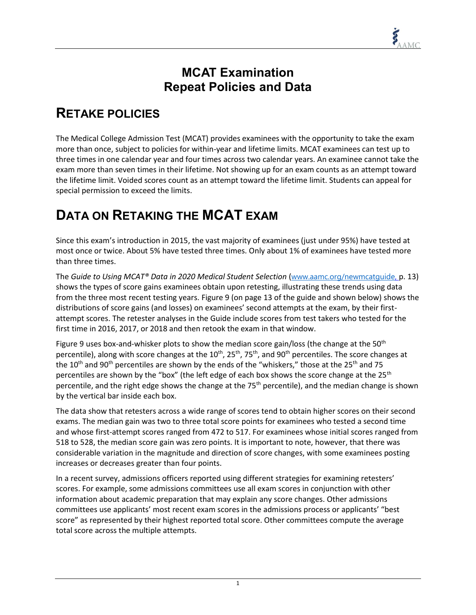## **MCAT Examination Repeat Policies and Data**

## **RETAKE POLICIES**

The Medical College Admission Test (MCAT) provides examinees with the opportunity to take the exam more than once, subject to policies for within-year and lifetime limits. MCAT examinees can test up to three times in one calendar year and four times across two calendar years. An examinee cannot take the exam more than seven times in their lifetime. Not showing up for an exam counts as an attempt toward the lifetime limit. Voided scores count as an attempt toward the lifetime limit. Students can appeal for special permission to exceed the limits.

## **DATA ON RETAKING THE MCAT EXAM**

Since this exam's introduction in 2015, the vast majority of examinees (just under 95%) have tested at most once or twice. About 5% have tested three times. Only about 1% of examinees have tested more than three times.

The *Guide to Using MCAT® Data in 2020 Medical Student Selection* ([www.aamc.org/newmcatguide,](http://www.aamc.org/newmcatguide) p. 13) shows the types of score gains examinees obtain upon retesting, illustrating these trends using data from the three most recent testing years. Figure 9 (on page 13 of the guide and shown below) shows the distributions of score gains (and losses) on examinees' second attempts at the exam, by their firstattempt scores. The retester analyses in the Guide include scores from test takers who tested for the first time in 2016, 2017, or 2018 and then retook the exam in that window.

Figure 9 uses box-and-whisker plots to show the median score gain/loss (the change at the 50<sup>th</sup> percentile), along with score changes at the 10<sup>th</sup>, 25<sup>th</sup>, 75<sup>th</sup>, and 90<sup>th</sup> percentiles. The score changes at the 10<sup>th</sup> and 90<sup>th</sup> percentiles are shown by the ends of the "whiskers," those at the 25<sup>th</sup> and 75 percentiles are shown by the "box" (the left edge of each box shows the score change at the 25<sup>th</sup> percentile, and the right edge shows the change at the  $75<sup>th</sup>$  percentile), and the median change is shown by the vertical bar inside each box.

The data show that retesters across a wide range of scores tend to obtain higher scores on their second exams. The median gain was two to three total score points for examinees who tested a second time and whose first-attempt scores ranged from 472 to 517. For examinees whose initial scores ranged from 518 to 528, the median score gain was zero points. It is important to note, however, that there was considerable variation in the magnitude and direction of score changes, with some examinees posting increases or decreases greater than four points.

In a recent survey, admissions officers reported using different strategies for examining retesters' scores. For example, some admissions committees use all exam scores in conjunction with other information about academic preparation that may explain any score changes. Other admissions committees use applicants' most recent exam scores in the admissions process or applicants' "best score" as represented by their highest reported total score. Other committees compute the average total score across the multiple attempts.